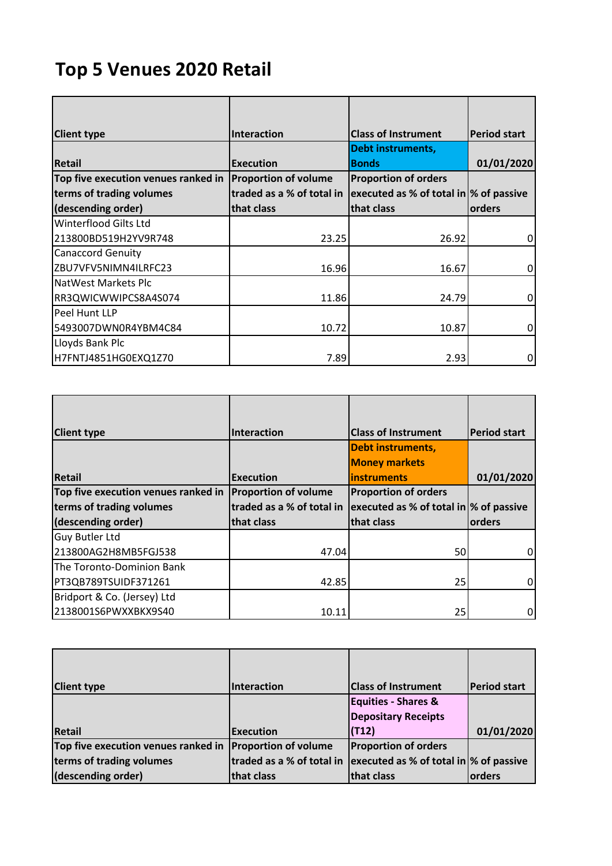## **Top 5 Venues 2020 Retail**

| <b>Client type</b>                  | Interaction                 | <b>Class of Instrument</b>              | <b>Period start</b> |
|-------------------------------------|-----------------------------|-----------------------------------------|---------------------|
|                                     |                             | <b>Debt instruments,</b>                |                     |
| <b>Retail</b>                       | <b>Execution</b>            | <b>Bonds</b>                            | 01/01/2020          |
| Top five execution venues ranked in | <b>Proportion of volume</b> | <b>Proportion of orders</b>             |                     |
| terms of trading volumes            | traded as a % of total in   | executed as % of total in  % of passive |                     |
| (descending order)                  | that class                  | that class                              | orders              |
| Winterflood Gilts Ltd               |                             |                                         |                     |
| 213800BD519H2YV9R748                | 23.25                       | 26.92                                   | 0                   |
| <b>Canaccord Genuity</b>            |                             |                                         |                     |
| ZBU7VFV5NIMN4ILRFC23                | 16.96                       | 16.67                                   | 0                   |
| NatWest Markets Plc                 |                             |                                         |                     |
| RR3QWICWWIPCS8A4S074                | 11.86                       | 24.79                                   | 0                   |
| Peel Hunt LLP                       |                             |                                         |                     |
| 5493007DWN0R4YBM4C84                | 10.72                       | 10.87                                   | 0                   |
| Lloyds Bank Plc                     |                             |                                         |                     |
| H7FNTJ4851HG0EXQ1Z70                | 7.89                        | 2.93                                    | 0                   |

| <b>Client type</b>                  | Interaction                 | <b>Class of Instrument</b>                    | <b>Period start</b> |
|-------------------------------------|-----------------------------|-----------------------------------------------|---------------------|
|                                     |                             | <b>Debt instruments,</b>                      |                     |
|                                     |                             | <b>Money markets</b>                          |                     |
| Retail                              | <b>Execution</b>            | <b>linstruments</b>                           | 01/01/2020          |
| Top five execution venues ranked in | <b>Proportion of volume</b> | <b>Proportion of orders</b>                   |                     |
| terms of trading volumes            | traded as a % of total in   | $ $ executed as % of total in $ %$ of passive |                     |
| (descending order)                  | that class                  | that class                                    | orders              |
| Guy Butler Ltd                      |                             |                                               |                     |
| 213800AG2H8MB5FGJ538                | 47.04                       | 50                                            | 0                   |
| The Toronto-Dominion Bank           |                             |                                               |                     |
| PT3QB789TSUIDF371261                | 42.85                       | 25                                            | 0                   |
| Bridport & Co. (Jersey) Ltd         |                             |                                               |                     |
| 2138001S6PWXXBKX9S40                | 10.11                       | 25                                            | 0                   |

| <b>Client type</b>                                       | Interaction               | <b>Class of Instrument</b>                    | <b>Period start</b> |
|----------------------------------------------------------|---------------------------|-----------------------------------------------|---------------------|
|                                                          |                           | <b>Equities - Shares &amp;</b>                |                     |
|                                                          |                           | <b>Depositary Receipts</b>                    |                     |
| <b>Retail</b>                                            | <b>Execution</b>          | (T12)                                         | 01/01/2020          |
| Top five execution venues ranked in Proportion of volume |                           | <b>Proportion of orders</b>                   |                     |
| terms of trading volumes                                 | traded as a % of total in | $ $ executed as % of total in $ %$ of passive |                     |
| (descending order)                                       | that class                | that class                                    | orders              |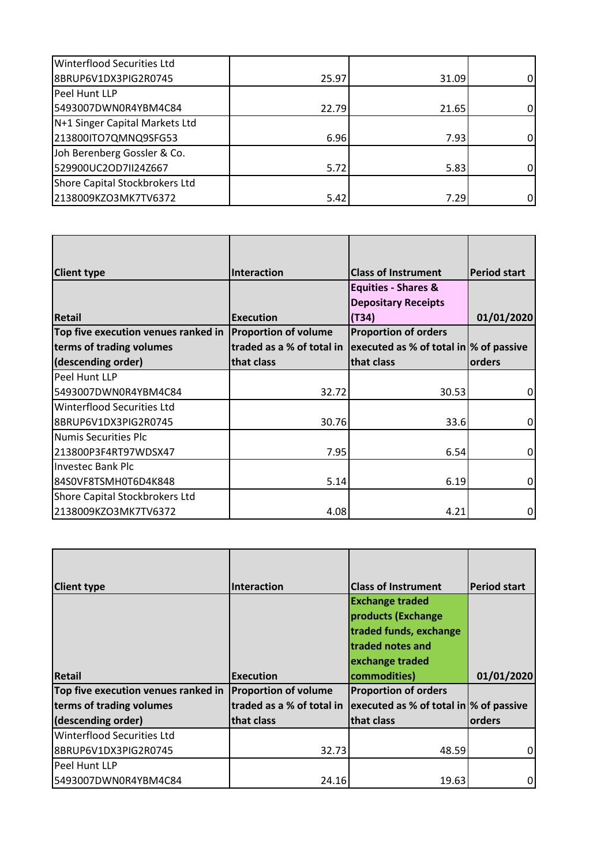| <b>Winterflood Securities Ltd</b> |       |       |   |
|-----------------------------------|-------|-------|---|
| 8BRUP6V1DX3PIG2R0745              | 25.97 | 31.09 |   |
| Peel Hunt LLP                     |       |       |   |
| 5493007DWN0R4YBM4C84              | 22.79 | 21.65 | 0 |
| N+1 Singer Capital Markets Ltd    |       |       |   |
| 213800ITO7QMNQ9SFG53              | 6.96  | 7.93  | 0 |
| Joh Berenberg Gossler & Co.       |       |       |   |
| 529900UC2OD7II24Z667              | 5.72  | 5.83  | ი |
| Shore Capital Stockbrokers Ltd    |       |       |   |
| 2138009KZO3MK7TV6372              | 5.42  | 7.29  |   |

| <b>Client type</b>                  | Interaction                 | <b>Class of Instrument</b>                                              | <b>Period start</b> |
|-------------------------------------|-----------------------------|-------------------------------------------------------------------------|---------------------|
|                                     |                             | <b>Equities - Shares &amp;</b>                                          |                     |
|                                     |                             | <b>Depositary Receipts</b>                                              |                     |
| <b>Retail</b>                       | <b>Execution</b>            | (T34)                                                                   | 01/01/2020          |
| Top five execution venues ranked in | <b>Proportion of volume</b> | <b>Proportion of orders</b>                                             |                     |
| terms of trading volumes            |                             | traded as a % of total in $ $ executed as % of total in $ %$ of passive |                     |
| (descending order)                  | that class                  | that class                                                              | orders              |
| Peel Hunt LLP                       |                             |                                                                         |                     |
| 5493007DWN0R4YBM4C84                | 32.72                       | 30.53                                                                   | $\mathbf 0$         |
| Winterflood Securities Ltd          |                             |                                                                         |                     |
| 8BRUP6V1DX3PIG2R0745                | 30.76                       | 33.6                                                                    | 0                   |
| Numis Securities Plc                |                             |                                                                         |                     |
| 213800P3F4RT97WDSX47                | 7.95                        | 6.54                                                                    | 0                   |
| <b>Investec Bank Plc</b>            |                             |                                                                         |                     |
| 84S0VF8TSMH0T6D4K848                | 5.14                        | 6.19                                                                    | 0                   |
| Shore Capital Stockbrokers Ltd      |                             |                                                                         |                     |
| 2138009KZO3MK7TV6372                | 4.08                        | 4.21                                                                    | 0                   |

| <b>Client type</b>                  | Interaction                 | <b>Class of Instrument</b>                    | <b>Period start</b> |
|-------------------------------------|-----------------------------|-----------------------------------------------|---------------------|
|                                     |                             | <b>Exchange traded</b>                        |                     |
|                                     |                             | products (Exchange                            |                     |
|                                     |                             | traded funds, exchange                        |                     |
|                                     |                             | traded notes and                              |                     |
|                                     |                             | exchange traded                               |                     |
| Retail                              | <b>Execution</b>            | commodities)                                  | 01/01/2020          |
| Top five execution venues ranked in | <b>Proportion of volume</b> | <b>Proportion of orders</b>                   |                     |
| terms of trading volumes            | traded as a % of total in   | $ $ executed as % of total in $ %$ of passive |                     |
| (descending order)                  | that class                  | that class                                    | orders              |
| <b>Winterflood Securities Ltd</b>   |                             |                                               |                     |
| 8BRUP6V1DX3PIG2R0745                | 32.73                       | 48.59                                         | 0                   |
| Peel Hunt LLP                       |                             |                                               |                     |
| 5493007DWN0R4YBM4C84                | 24.16                       | 19.63                                         | 0                   |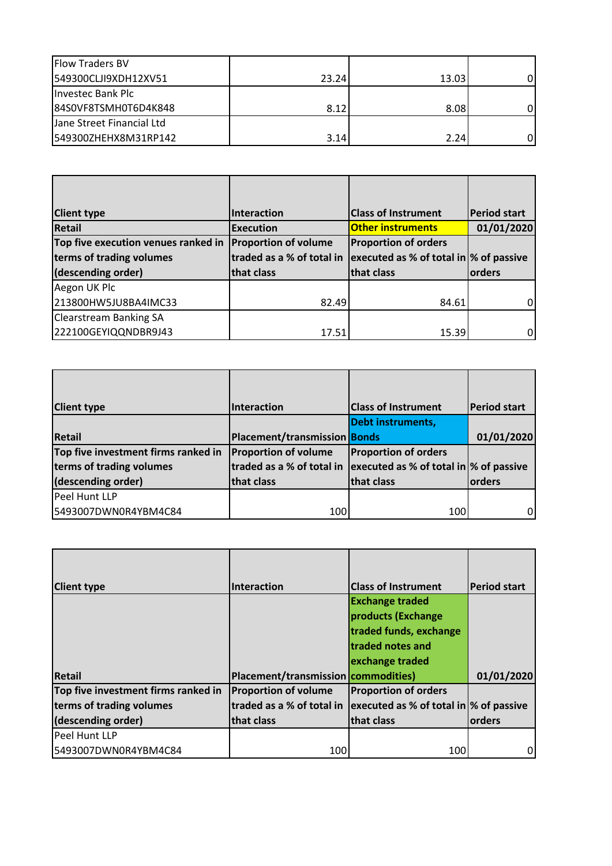| <b>Flow Traders BV</b>    |       |       |   |
|---------------------------|-------|-------|---|
| 549300CLJI9XDH12XV51      | 23.24 | 13.03 | 0 |
| Investec Bank Plc         |       |       |   |
| 84S0VF8TSMH0T6D4K848      | 8.12  | 8.08  | 0 |
| Jane Street Financial Ltd |       |       |   |
| 549300ZHEHX8M31RP142      | 3.14  | 2.24  | 0 |

| <b>Client type</b>                  | Interaction                 | <b>Class of Instrument</b>              | <b>Period start</b> |
|-------------------------------------|-----------------------------|-----------------------------------------|---------------------|
| <b>Retail</b>                       | <b>Execution</b>            | <b>Other instruments</b>                | 01/01/2020          |
| Top five execution venues ranked in | <b>Proportion of volume</b> | <b>Proportion of orders</b>             |                     |
| terms of trading volumes            | traded as a % of total in   | executed as % of total in  % of passive |                     |
| (descending order)                  | that class                  | that class                              | orders              |
| Aegon UK Plc                        |                             |                                         |                     |
| 213800HW5JU8BA4IMC33                | 82.49                       | 84.61                                   | 0                   |
| <b>Clearstream Banking SA</b>       |                             |                                         |                     |
| 222100GEYIQQNDBR9J43                | 17.51                       | 15.39                                   | $\Omega$            |

| <b>Client type</b>                  | Interaction                  | <b>Class of Instrument</b>                    | <b>Period start</b> |
|-------------------------------------|------------------------------|-----------------------------------------------|---------------------|
|                                     |                              |                                               |                     |
|                                     |                              | <b>Debt instruments,</b>                      |                     |
| <b>Retail</b>                       | Placement/transmission Bonds |                                               | 01/01/2020          |
| Top five investment firms ranked in | <b>Proportion of volume</b>  | <b>Proportion of orders</b>                   |                     |
| terms of trading volumes            | traded as a % of total in    | $ $ executed as % of total in $ %$ of passive |                     |
| (descending order)                  | that class                   | that class                                    | orders              |
| Peel Hunt LLP                       |                              |                                               |                     |
| 5493007DWN0R4YBM4C84                | 100                          | 100                                           | 0                   |

| <b>Client type</b>                  | Interaction                         | <b>Class of Instrument</b>                    | <b>Period start</b> |
|-------------------------------------|-------------------------------------|-----------------------------------------------|---------------------|
|                                     |                                     | <b>Exchange traded</b>                        |                     |
|                                     |                                     | products (Exchange                            |                     |
|                                     |                                     | traded funds, exchange                        |                     |
|                                     |                                     | traded notes and                              |                     |
|                                     |                                     | exchange traded                               |                     |
| <b>Retail</b>                       | Placement/transmission commodities) |                                               | 01/01/2020          |
| Top five investment firms ranked in | <b>Proportion of volume</b>         | <b>Proportion of orders</b>                   |                     |
| terms of trading volumes            | traded as a % of total in           | $ $ executed as % of total in $ %$ of passive |                     |
| (descending order)                  | that class                          | that class                                    | orders              |
| Peel Hunt LLP                       |                                     |                                               |                     |
| 5493007DWN0R4YBM4C84                | 100                                 | 100                                           | 0                   |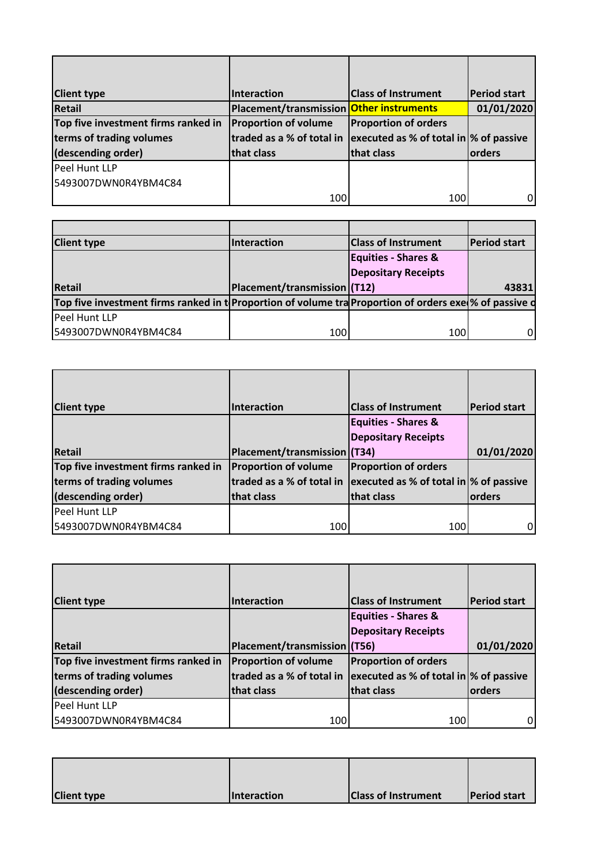| <b>Client type</b>                  | Interaction                              | <b>Class of Instrument</b>                    | <b>Period start</b> |
|-------------------------------------|------------------------------------------|-----------------------------------------------|---------------------|
| <b>Retail</b>                       | Placement/transmission Other instruments |                                               | 01/01/2020          |
| Top five investment firms ranked in | <b>Proportion of volume</b>              | <b>Proportion of orders</b>                   |                     |
| terms of trading volumes            | traded as a % of total in                | $ $ executed as % of total in $ %$ of passive |                     |
| (descending order)                  | that class                               | that class                                    | <b>orders</b>       |
| Peel Hunt LLP                       |                                          |                                               |                     |
| 5493007DWN0R4YBM4C84                |                                          |                                               |                     |
|                                     | 100                                      | 100                                           | 0                   |

| <b>Client type</b>                                                                                                       | Interaction                         | <b>Class of Instrument</b>     | <b>Period start</b> |
|--------------------------------------------------------------------------------------------------------------------------|-------------------------------------|--------------------------------|---------------------|
|                                                                                                                          |                                     | <b>Equities - Shares &amp;</b> |                     |
|                                                                                                                          |                                     | <b>Depositary Receipts</b>     |                     |
|                                                                                                                          |                                     |                                |                     |
|                                                                                                                          | <b>Placement/transmission (T12)</b> |                                | 43831               |
| <b>Retail</b><br>Top five investment firms ranked in t Proportion of volume tra Proportion of orders exel % of passive d |                                     |                                |                     |
| Peel Hunt LLP                                                                                                            |                                     |                                |                     |

| <b>Client type</b>                  | Interaction                  | <b>Class of Instrument</b>                    | <b>Period start</b> |
|-------------------------------------|------------------------------|-----------------------------------------------|---------------------|
|                                     |                              | <b>Equities - Shares &amp;</b>                |                     |
|                                     |                              | <b>Depositary Receipts</b>                    |                     |
| <b>Retail</b>                       | Placement/transmission (T34) |                                               | 01/01/2020          |
| Top five investment firms ranked in | <b>Proportion of volume</b>  | <b>Proportion of orders</b>                   |                     |
| terms of trading volumes            | traded as a % of total in    | $ $ executed as % of total in $ %$ of passive |                     |
| (descending order)                  | that class                   | that class                                    | orders              |
| Peel Hunt LLP                       |                              |                                               |                     |
| 5493007DWN0R4YBM4C84                | 100                          | 100                                           |                     |

| <b>Client type</b>                  | Interaction                  | <b>Class of Instrument</b>                    | <b>Period start</b> |
|-------------------------------------|------------------------------|-----------------------------------------------|---------------------|
|                                     |                              | <b>Equities - Shares &amp;</b>                |                     |
|                                     |                              | <b>Depositary Receipts</b>                    |                     |
| <b>Retail</b>                       | Placement/transmission (T56) |                                               | 01/01/2020          |
| Top five investment firms ranked in | <b>Proportion of volume</b>  | <b>Proportion of orders</b>                   |                     |
| terms of trading volumes            | traded as a % of total in    | $ $ executed as % of total in $ %$ of passive |                     |
| (descending order)                  | that class                   | that class                                    | orders              |
| Peel Hunt LLP                       |                              |                                               |                     |
| 5493007DWN0R4YBM4C84                | 100                          | 100                                           | 0                   |

| <b>Client type</b> | <b>Interaction</b> | <b>Class of Instrument</b> | <b>Period start</b> |
|--------------------|--------------------|----------------------------|---------------------|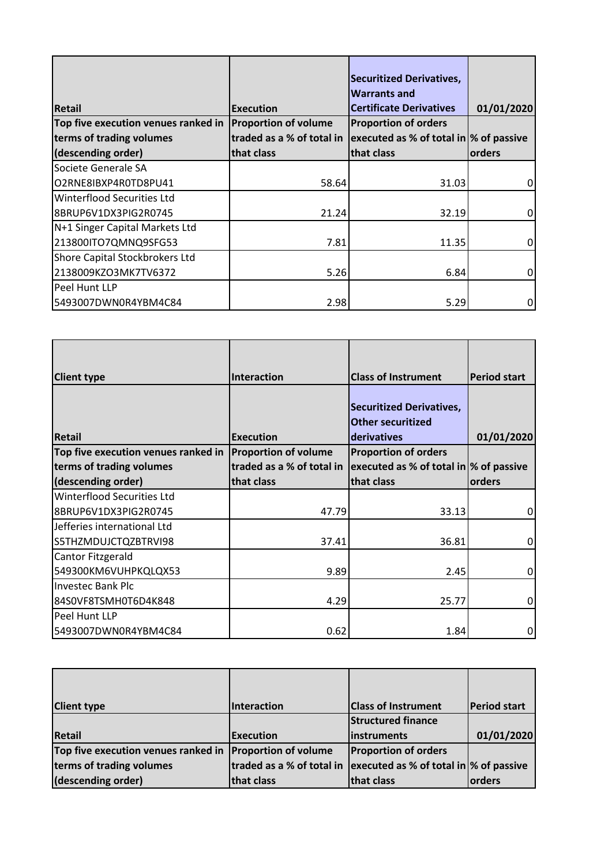| <b>Retail</b>                       | <b>Execution</b>            | <b>Securitized Derivatives,</b><br><b>Warrants and</b><br><b>Certificate Derivatives</b> | 01/01/2020 |
|-------------------------------------|-----------------------------|------------------------------------------------------------------------------------------|------------|
| Top five execution venues ranked in | <b>Proportion of volume</b> | <b>Proportion of orders</b>                                                              |            |
| terms of trading volumes            | traded as a % of total in   | $ $ executed as % of total in $ %$ of passive                                            |            |
| (descending order)                  | that class                  | that class                                                                               | orders     |
| Societe Generale SA                 |                             |                                                                                          |            |
| O2RNE8IBXP4R0TD8PU41                | 58.64                       | 31.03                                                                                    | 0          |
| Winterflood Securities Ltd          |                             |                                                                                          |            |
| 8BRUP6V1DX3PIG2R0745                | 21.24                       | 32.19                                                                                    | 0          |
| N+1 Singer Capital Markets Ltd      |                             |                                                                                          |            |
| 213800ITO7QMNQ9SFG53                | 7.81                        | 11.35                                                                                    | 0          |
| Shore Capital Stockbrokers Ltd      |                             |                                                                                          |            |
| 2138009KZO3MK7TV6372                | 5.26                        | 6.84                                                                                     | 0          |
| Peel Hunt LLP                       |                             |                                                                                          |            |
| 5493007DWN0R4YBM4C84                | 2.98                        | 5.29                                                                                     | 0          |

| <b>Client type</b>                  | <b>Interaction</b>                                                      | <b>Class of Instrument</b>      | <b>Period start</b> |
|-------------------------------------|-------------------------------------------------------------------------|---------------------------------|---------------------|
|                                     |                                                                         |                                 |                     |
|                                     |                                                                         | <b>Securitized Derivatives,</b> |                     |
|                                     |                                                                         | <b>Other securitized</b>        |                     |
| <b>Retail</b>                       | <b>Execution</b>                                                        | derivatives                     | 01/01/2020          |
| Top five execution venues ranked in | <b>Proportion of volume</b>                                             | <b>Proportion of orders</b>     |                     |
| terms of trading volumes            | traded as a % of total in $ $ executed as % of total in $ %$ of passive |                                 |                     |
| (descending order)                  | that class                                                              | that class                      | orders              |
| Winterflood Securities Ltd          |                                                                         |                                 |                     |
| 8BRUP6V1DX3PIG2R0745                | 47.79                                                                   | 33.13                           | 0                   |
| Jefferies international Ltd         |                                                                         |                                 |                     |
| S5THZMDUJCTQZBTRVI98                | 37.41                                                                   | 36.81                           | 0                   |
| Cantor Fitzgerald                   |                                                                         |                                 |                     |
| 549300KM6VUHPKQLQX53                | 9.89                                                                    | 2.45                            | $\mathbf 0$         |
| <b>Investec Bank Plc</b>            |                                                                         |                                 |                     |
| 84S0VF8TSMH0T6D4K848                | 4.29                                                                    | 25.77                           | 0                   |
| Peel Hunt LLP                       |                                                                         |                                 |                     |
| 5493007DWN0R4YBM4C84                | 0.62                                                                    | 1.84                            | 0                   |

| <b>Client type</b>                                       | Interaction                                                             | <b>Class of Instrument</b>  | <b>Period start</b> |
|----------------------------------------------------------|-------------------------------------------------------------------------|-----------------------------|---------------------|
|                                                          |                                                                         | <b>Structured finance</b>   |                     |
| <b>Retail</b>                                            | <b>Execution</b>                                                        | linstruments                | 01/01/2020          |
| Top five execution venues ranked in Proportion of volume |                                                                         | <b>Proportion of orders</b> |                     |
| terms of trading volumes                                 | traded as a % of total in $ $ executed as % of total in $ %$ of passive |                             |                     |
| (descending order)                                       | that class                                                              | that class                  | orders              |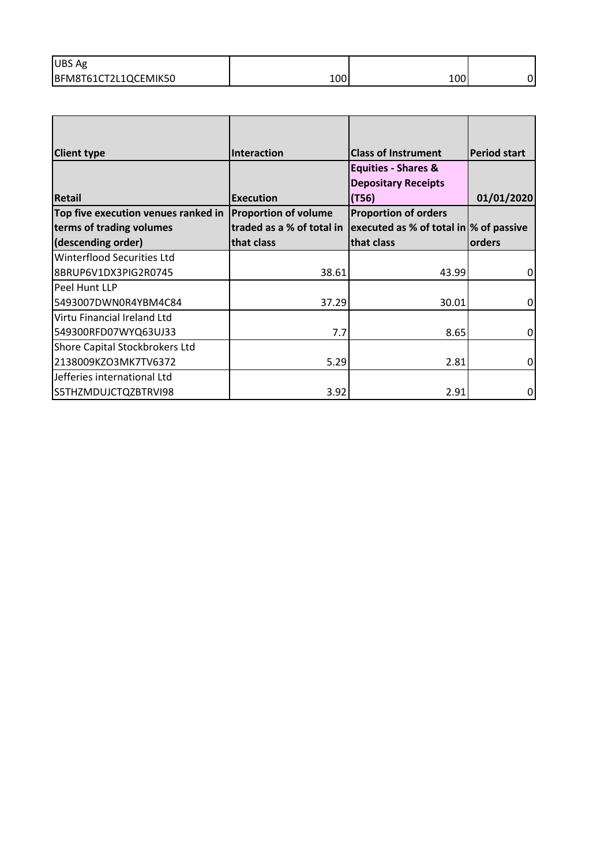| <b>UBS Ag</b>        |            |     |   |
|----------------------|------------|-----|---|
| BFM8T61CT2L1QCEMIK50 | <b>TOO</b> | 100 | ი |

| <b>Client type</b>                  | Interaction                 | <b>Class of Instrument</b>                    | <b>Period start</b> |
|-------------------------------------|-----------------------------|-----------------------------------------------|---------------------|
|                                     |                             | <b>Equities - Shares &amp;</b>                |                     |
|                                     |                             | <b>Depositary Receipts</b>                    |                     |
| <b>Retail</b>                       | <b>Execution</b>            | (T56)                                         | 01/01/2020          |
| Top five execution venues ranked in | <b>Proportion of volume</b> | <b>Proportion of orders</b>                   |                     |
| terms of trading volumes            | traded as a % of total in   | $ $ executed as % of total in $ %$ of passive |                     |
| (descending order)                  | that class                  | that class                                    | orders              |
| Winterflood Securities Ltd          |                             |                                               |                     |
| 8BRUP6V1DX3PIG2R0745                | 38.61                       | 43.99                                         | $\Omega$            |
| Peel Hunt LLP                       |                             |                                               |                     |
| 5493007DWN0R4YBM4C84                | 37.29                       | 30.01                                         | 0                   |
| Virtu Financial Ireland Ltd         |                             |                                               |                     |
| 549300RFD07WYQ63UJ33                | 7.7                         | 8.65                                          | $\Omega$            |
| Shore Capital Stockbrokers Ltd      |                             |                                               |                     |
| 2138009KZO3MK7TV6372                | 5.29                        | 2.81                                          | $\overline{0}$      |
| Jefferies international Ltd         |                             |                                               |                     |
| S5THZMDUJCTQZBTRVI98                | 3.92                        | 2.91                                          | 0l                  |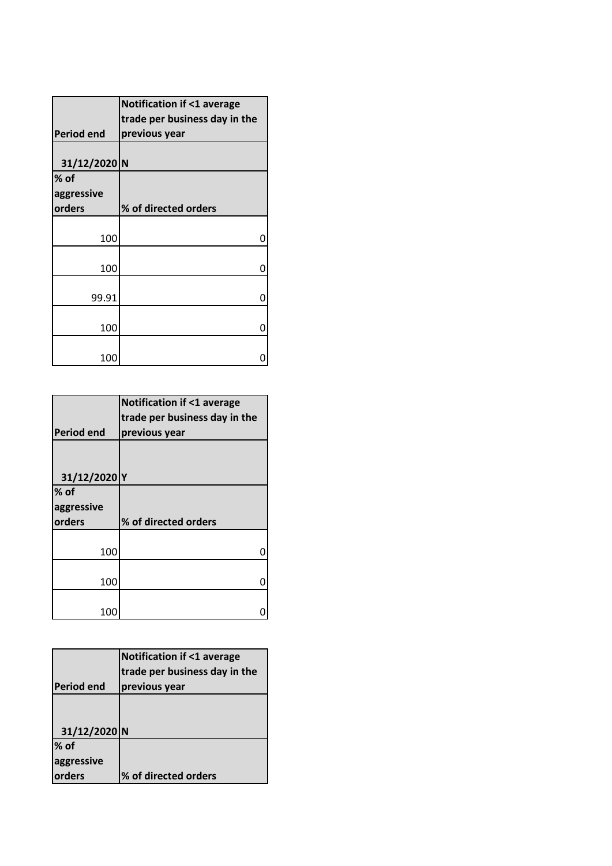|                   | <b>Notification if &lt;1 average</b> |
|-------------------|--------------------------------------|
|                   | trade per business day in the        |
| <b>Period end</b> | previous year                        |
|                   |                                      |
| 31/12/2020 N      |                                      |
| $%$ of            |                                      |
| aggressive        |                                      |
| orders            | % of directed orders                 |
|                   |                                      |
| 100               | 0                                    |
|                   |                                      |
| 100               | 0                                    |
|                   |                                      |
| 99.91             | 0                                    |
|                   |                                      |
| 100               | Ω                                    |
|                   |                                      |
| 100               |                                      |

|                   | <b>Notification if &lt;1 average</b> |
|-------------------|--------------------------------------|
|                   | trade per business day in the        |
| <b>Period end</b> | previous year                        |
|                   |                                      |
|                   |                                      |
|                   |                                      |
| 31/12/2020 Y      |                                      |
| $%$ of            |                                      |
| aggressive        |                                      |
| orders            | % of directed orders                 |
|                   |                                      |
| 100               |                                      |
|                   |                                      |
|                   |                                      |
| 100               |                                      |
|                   |                                      |

|                   | <b>Notification if &lt;1 average</b><br>trade per business day in the |
|-------------------|-----------------------------------------------------------------------|
| <b>Period end</b> | previous year                                                         |
|                   |                                                                       |
|                   |                                                                       |
| 31/12/2020 N      |                                                                       |
| % of              |                                                                       |
| aggressive        |                                                                       |
| orders            | % of directed orders                                                  |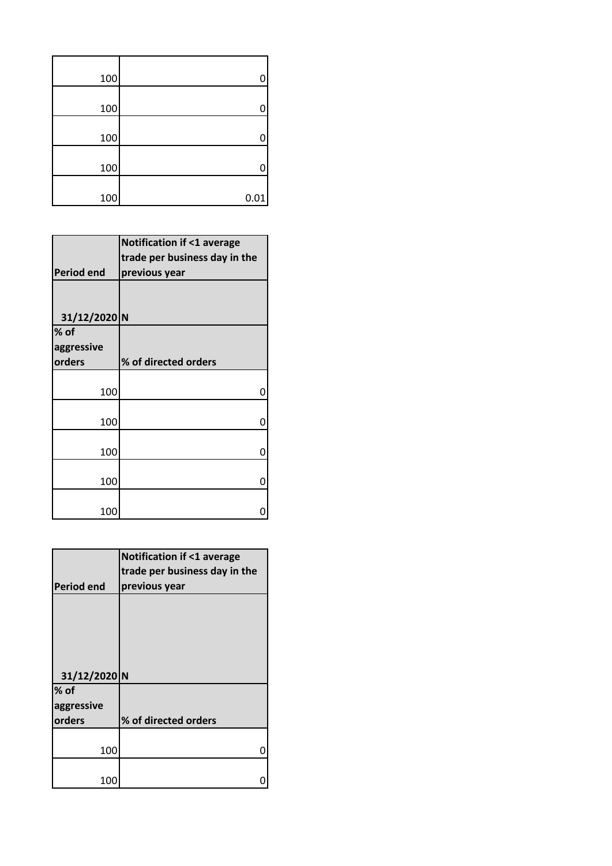| 100 | 0    |  |
|-----|------|--|
| 100 | 0    |  |
| 100 | 0    |  |
| 100 | 0    |  |
| 100 | 0.01 |  |
|     |      |  |

|                   | <b>Notification if &lt;1 average</b> |
|-------------------|--------------------------------------|
|                   | trade per business day in the        |
| <b>Period end</b> | previous year                        |
|                   |                                      |
|                   |                                      |
| 31/12/2020 N      |                                      |
| $%$ of            |                                      |
| aggressive        |                                      |
| orders            | % of directed orders                 |
|                   |                                      |
| 100               | ი                                    |
|                   |                                      |
| 100               | ŋ                                    |
|                   |                                      |
| 100               | ი                                    |
|                   |                                      |
| 100               | ი                                    |
|                   |                                      |
| 100               |                                      |

|                   | <b>Notification if &lt;1 average</b> |
|-------------------|--------------------------------------|
|                   | trade per business day in the        |
|                   |                                      |
| <b>Period end</b> | previous year                        |
|                   |                                      |
|                   |                                      |
|                   |                                      |
|                   |                                      |
|                   |                                      |
|                   |                                      |
| 31/12/2020 N      |                                      |
| $%$ of            |                                      |
| aggressive        |                                      |
| orders            | % of directed orders                 |
|                   |                                      |
| 100               |                                      |
|                   |                                      |
|                   |                                      |
|                   |                                      |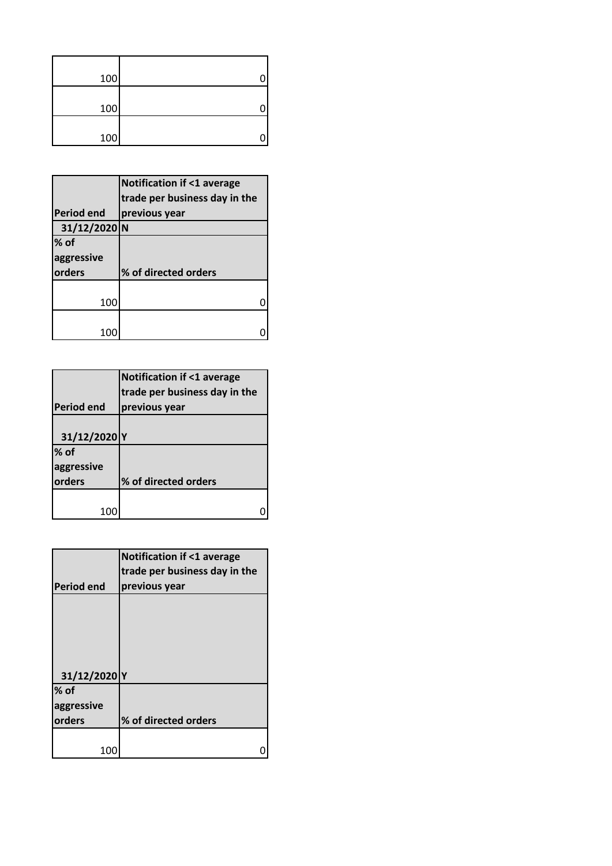| 100 |  |
|-----|--|
| 100 |  |
| 100 |  |

|                   | <b>Notification if &lt;1 average</b> |
|-------------------|--------------------------------------|
|                   | trade per business day in the        |
| <b>Period end</b> | previous year                        |
| 31/12/2020 N      |                                      |
| $%$ of            |                                      |
| aggressive        |                                      |
| orders            | % of directed orders                 |
|                   |                                      |
| 100               |                                      |
|                   |                                      |
|                   |                                      |

|                   | <b>Notification if &lt;1 average</b><br>trade per business day in the |
|-------------------|-----------------------------------------------------------------------|
| <b>Period end</b> | previous year                                                         |
| 31/12/2020 Y      |                                                                       |
| $%$ of            |                                                                       |
| aggressive        |                                                                       |
| orders            | % of directed orders                                                  |
|                   |                                                                       |
|                   |                                                                       |

| <b>Notification if &lt;1 average</b><br>trade per business day in the<br>previous year |
|----------------------------------------------------------------------------------------|
|                                                                                        |
|                                                                                        |
|                                                                                        |
|                                                                                        |
|                                                                                        |
|                                                                                        |
|                                                                                        |
|                                                                                        |
|                                                                                        |
|                                                                                        |
|                                                                                        |
| % of directed orders                                                                   |
|                                                                                        |
|                                                                                        |
|                                                                                        |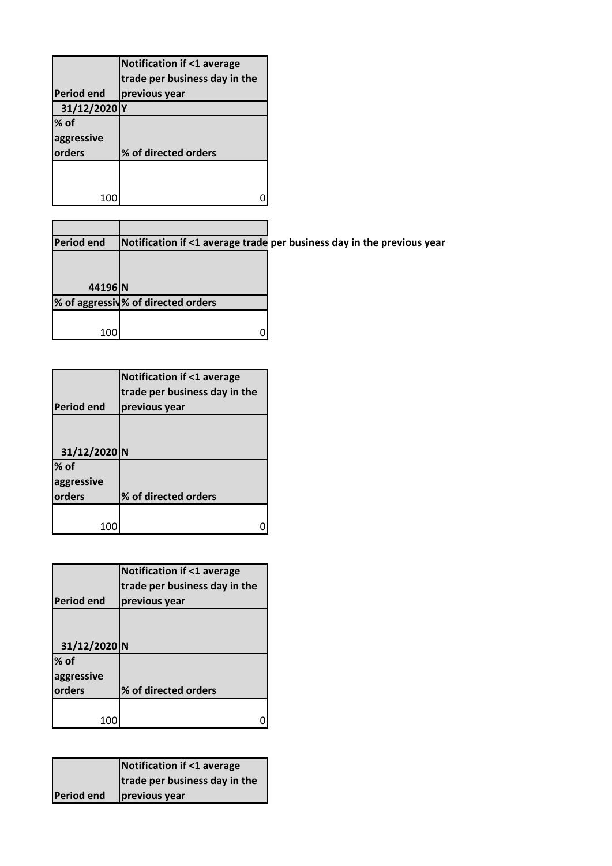|                   | <b>Notification if &lt;1 average</b> |
|-------------------|--------------------------------------|
|                   | trade per business day in the        |
| <b>Period end</b> | previous year                        |
| 31/12/2020 Y      |                                      |
| $%$ of            |                                      |
| aggressive        |                                      |
| orders            | % of directed orders                 |
|                   |                                      |
|                   |                                      |
|                   |                                      |

| <b>Period end</b> |                                    | Notification if <1 average trade per business day in the previous year |
|-------------------|------------------------------------|------------------------------------------------------------------------|
|                   |                                    |                                                                        |
|                   |                                    |                                                                        |
| 44196 N           |                                    |                                                                        |
|                   | % of aggressiv% of directed orders |                                                                        |
|                   |                                    |                                                                        |
| 100               |                                    |                                                                        |

|                   | <b>Notification if &lt;1 average</b><br>trade per business day in the |
|-------------------|-----------------------------------------------------------------------|
| <b>Period end</b> | previous year                                                         |
|                   |                                                                       |
|                   |                                                                       |
| 31/12/2020 N      |                                                                       |
| $%$ of            |                                                                       |
| aggressive        |                                                                       |
| orders            | % of directed orders                                                  |
|                   |                                                                       |
| 100               |                                                                       |

|                   | <b>Notification if &lt;1 average</b> |
|-------------------|--------------------------------------|
|                   | trade per business day in the        |
| <b>Period end</b> | previous year                        |
|                   |                                      |
| 31/12/2020 N      |                                      |
| $%$ of            |                                      |
| aggressive        |                                      |
| orders            | % of directed orders                 |
|                   |                                      |
|                   |                                      |

|                   | Notification if <1 average    |
|-------------------|-------------------------------|
|                   | trade per business day in the |
| <b>Period end</b> | previous year                 |
|                   |                               |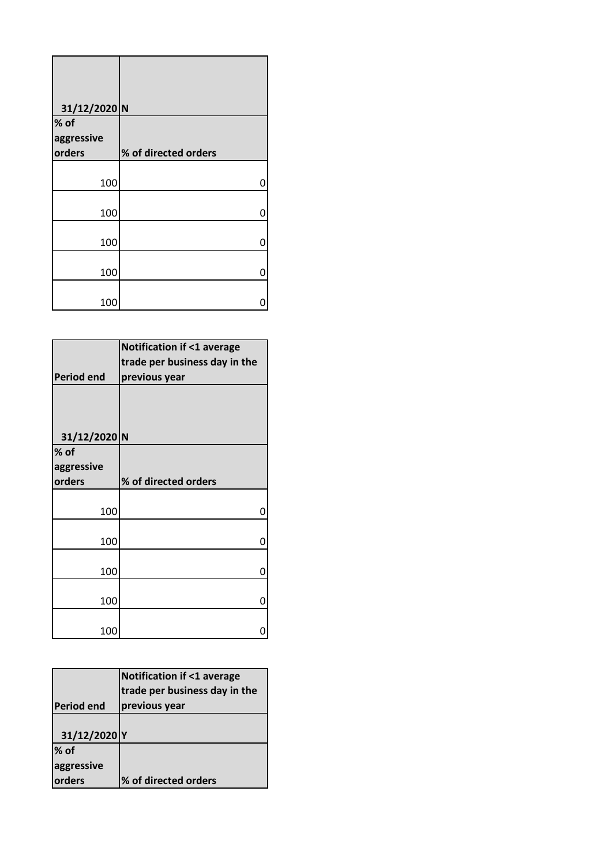| 31/12/2020 N |                      |
|--------------|----------------------|
| % of         |                      |
| aggressive   |                      |
| orders       | % of directed orders |
| 100          | 0                    |
| 100          | 0                    |
| 100          | 0                    |
| 100          | 0                    |
| 100          |                      |

|                   | <b>Notification if &lt;1 average</b> |
|-------------------|--------------------------------------|
|                   | trade per business day in the        |
| <b>Period end</b> | previous year                        |
|                   |                                      |
| 31/12/2020 N      |                                      |
| $%$ of            |                                      |
| aggressive        |                                      |
| orders            | % of directed orders                 |
|                   |                                      |
| 100               | n                                    |
| 100               | 0                                    |
| 100               | 0                                    |
| 100               | O                                    |
| 100               |                                      |

|                   | <b>Notification if &lt;1 average</b> |
|-------------------|--------------------------------------|
|                   | trade per business day in the        |
| <b>Period end</b> | previous year                        |
|                   |                                      |
| 31/12/2020 Y      |                                      |
| % of              |                                      |
| aggressive        |                                      |
| orders            | % of directed orders                 |